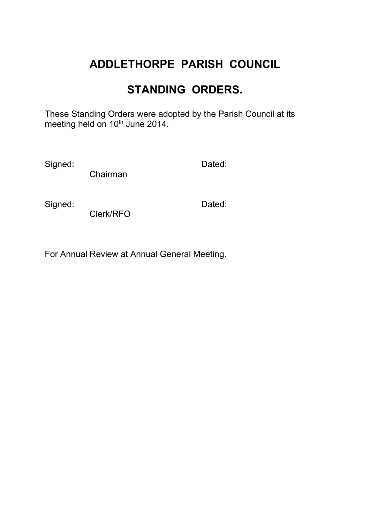# **ADDLETHORPE PARISH COUNCIL**

## **STANDING ORDERS.**

These Standing Orders were adopted by the Parish Council at its meeting held on 10<sup>th</sup> June 2014.

Signed: **Dated:** Dated:

Chairman

Signed: **Dated:** Dated:

Clerk/RFO

For Annual Review at Annual General Meeting.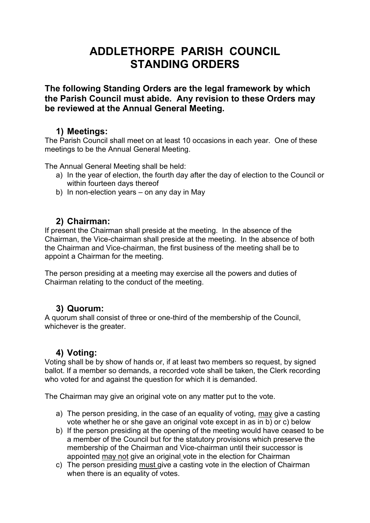## **ADDLETHORPE PARISH COUNCIL STANDING ORDERS**

**The following Standing Orders are the legal framework by which the Parish Council must abide. Any revision to these Orders may be reviewed at the Annual General Meeting.**

#### **1) Meetings:**

The Parish Council shall meet on at least 10 occasions in each year. One of these meetings to be the Annual General Meeting.

The Annual General Meeting shall be held:

- a) In the year of election, the fourth day after the day of election to the Council or within fourteen days thereof
- b) In non-election years on any day in May

## **2) Chairman:**

If present the Chairman shall preside at the meeting. In the absence of the Chairman, the Vice-chairman shall preside at the meeting. In the absence of both the Chairman and Vice-chairman, the first business of the meeting shall be to appoint a Chairman for the meeting.

The person presiding at a meeting may exercise all the powers and duties of Chairman relating to the conduct of the meeting.

## **3) Quorum:**

A quorum shall consist of three or one-third of the membership of the Council, whichever is the greater.

## **4) Voting:**

Voting shall be by show of hands or, if at least two members so request, by signed ballot. If a member so demands, a recorded vote shall be taken, the Clerk recording who voted for and against the question for which it is demanded.

The Chairman may give an original vote on any matter put to the vote.

- a) The person presiding, in the case of an equality of voting, may give a casting vote whether he or she gave an original vote except in as in b) or c) below
- b) If the person presiding at the opening of the meeting would have ceased to be a member of the Council but for the statutory provisions which preserve the membership of the Chairman and Vice-chairman until their successor is appointed may not give an original vote in the election for Chairman
- c) The person presiding must give a casting vote in the election of Chairman when there is an equality of votes.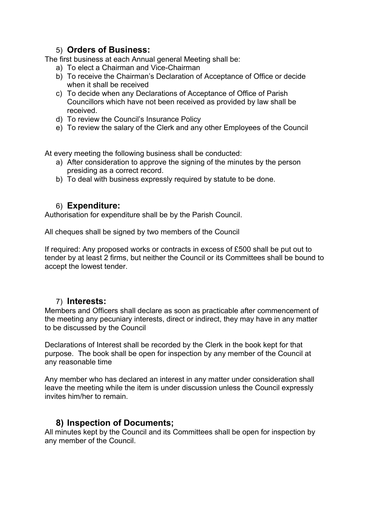#### 5) **Orders of Business:**

The first business at each Annual general Meeting shall be:

- a) To elect a Chairman and Vice-Chairman
- b) To receive the Chairman's Declaration of Acceptance of Office or decide when it shall be received
- c) To decide when any Declarations of Acceptance of Office of Parish Councillors which have not been received as provided by law shall be received.
- d) To review the Council's Insurance Policy
- e) To review the salary of the Clerk and any other Employees of the Council

At every meeting the following business shall be conducted:

- a) After consideration to approve the signing of the minutes by the person presiding as a correct record.
- b) To deal with business expressly required by statute to be done.

#### 6) **Expenditure:**

Authorisation for expenditure shall be by the Parish Council.

All cheques shall be signed by two members of the Council

If required: Any proposed works or contracts in excess of £500 shall be put out to tender by at least 2 firms, but neither the Council or its Committees shall be bound to accept the lowest tender.

#### 7) **Interests:**

Members and Officers shall declare as soon as practicable after commencement of the meeting any pecuniary interests, direct or indirect, they may have in any matter to be discussed by the Council

Declarations of Interest shall be recorded by the Clerk in the book kept for that purpose. The book shall be open for inspection by any member of the Council at any reasonable time

Any member who has declared an interest in any matter under consideration shall leave the meeting while the item is under discussion unless the Council expressly invites him/her to remain.

## **8) Inspection of Documents;**

All minutes kept by the Council and its Committees shall be open for inspection by any member of the Council.